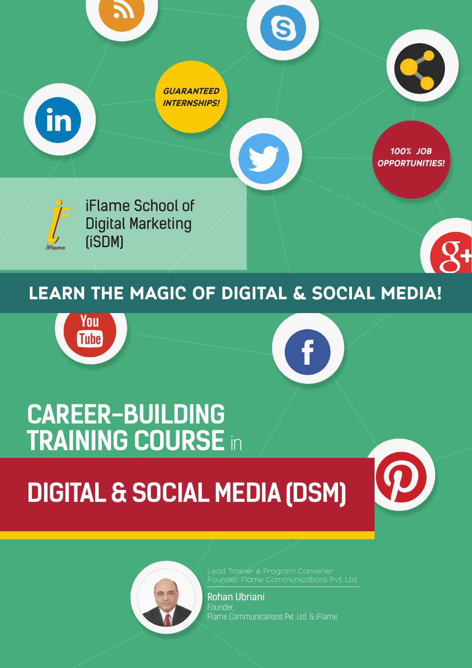

# You **Tube**



# **CAREER-BUILDING TRAINING COURSE** in

# **DIGITAL & SOCIAL MEDIA (DSM)**





Rohan Ubriani Founder, Flame Communications Pvt. Ltd. & iFlame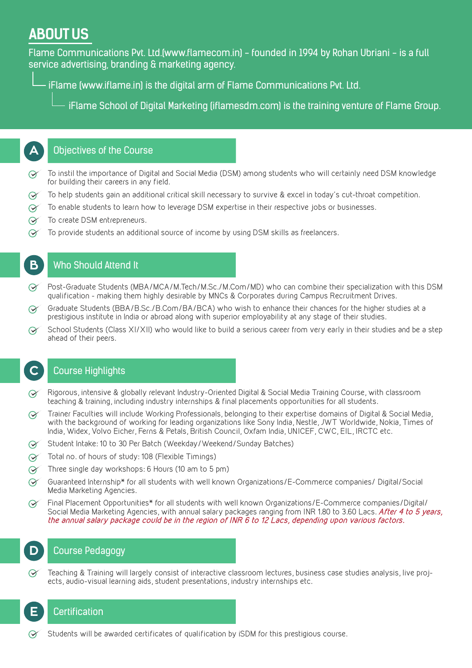## **ABOUT US**

Flame Communications Pvt. Ltd.(www.flamecom.in) - founded in 1994 by Rohan Ubriani - is a full service advertising, branding & marketing agency.

iFlame (www.iflame.in) is the digital arm of Flame Communications Pvt. Ltd.

iFlame School of Digital Marketing (iflamesdm.com) is the training venture of Flame Group.

#### Objectives of the Course **A**

- To instil the importance of Digital and Social Media (DSM) among students who will certainly need DSM knowledge  $\odot$ for building their careers in any field.
- To help students gain an additional critical skill necessary to survive & excel in today's cut-throat competition.  $\odot$
- To enable students to learn how to leverage DSM expertise in their respective jobs or businesses.  $\Theta$
- $\infty$ To create DSM entrepreneurs.
- $\infty$ To provide students an additional source of income by using DSM skills as freelancers.

#### Who Should Attend It

**B**

**C**

- $\odot$ Post-Graduate Students (MBA/MCA/M.Tech/M.Sc./M.Com/MD) who can combine their specialization with this DSM qualification - making them highly desirable by MNCs & Corporates during Campus Recruitment Drives.
- Graduate Students (BBA/B.Sc./B.Com/BA/BCA) who wish to enhance their chances for the higher studies at a  $\infty$ prestigious institute in India or abroad along with superior employability at any stage of their studies.
- School Students (Class XI/XII) who would like to build a serious career from very early in their studies and be a step  $\odot$ ahead of their peers.

### Course Highlights

- Rigorous, intensive & globally relevant Industry-Oriented Digital & Social Media Training Course, with classroom  $\infty$ teaching & training, including industry internships & final placements opportunities for all students.
- Trainer Faculties will include Working Professionals, belonging to their expertise domains of Digital & Social Media,  $\infty$ with the background of working for leading organizations like Sony India, Nestle, JWT Worldwide, Nokia, Times of India, Widex, Volvo Eicher, Ferns & Petals, British Council, Oxfam India, UNICEF, CWC, EIL, IRCTC etc.
- Student Intake: 10 to 30 Per Batch (Weekday/Weekend/Sunday Batches)  $\Theta$
- Total no. of hours of study: 108 (Flexible Timings)  $\Theta$
- Three single day workshops: 6 Hours (10 am to 5 pm)  $\infty$
- $\infty$ Guaranteed Internship\* for all students with well known Organizations/E-Commerce companies/ Digital/Social Media Marketing Agencies.
- Final Placement Opportunities\* for all students with well known Organizations/E-Commerce companies/Digital/  $\infty$ Social Media Marketing Agencies, with annual salary packages ranging from INR 1.80 to 3.60 Lacs. **After 4 to 5 years, the annual salary package could be in the region of INR 6 to 12 Lacs, depending upon various factors.**

#### Course Pedagogy **D**

Teaching & Training will largely consist of interactive classroom lectures, business case studies analysis, live proj- $\odot$ ects, audio-visual learning aids, student presentations, industry internships etc.

### **Certification**

**E**

Students will be awarded certificates of qualification by iSDM for this prestigious course.  $\odot$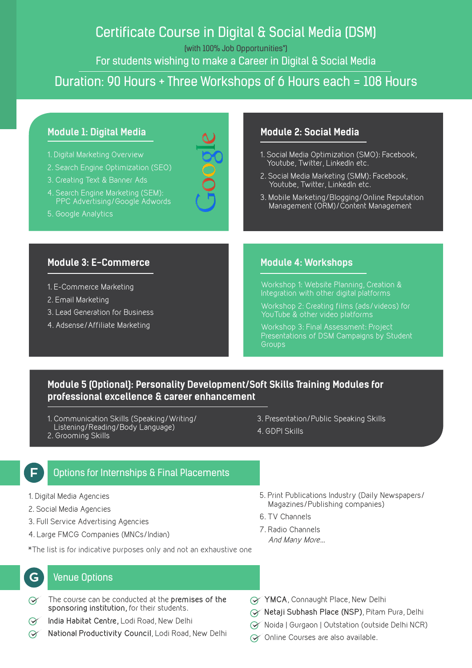## Certificate Course in Digital & Social Media (DSM)

(with 100% Job Opportunities\*)

For students wishing to make a Career in Digital & Social Media

### Duration: 90 Hours + Three Workshops of 6 Hours each = 108 Hours

#### **Module 1: Digital Media**

- 1. Digital Marketing Overview
- 2. Search Engine Optimization (SEO)
- 3. Creating Text & Banner Ads
- 4. Search Engine Marketing (SEM): PPC Advertising/Google Adwords
- 5. Google Analytics

#### **Module 2: Social Media**

- 1. Social Media Optimization (SMO): Facebook, Youtube, Twitter, LinkedIn etc.
- 2. Social Media Marketing (SMM): Facebook, Youtube, Twitter, LinkedIn etc.
- 3. Mobile Marketing/Blogging/Online Reputation Management (ORM)/Content Management

#### **Module 3: E-Commerce**

- 1. E-Commerce Marketing
- 2. Email Marketing
- 3. Lead Generation for Business
- 4. Adsense/Affiliate Marketing

#### **Module 4: Workshops**

Workshop 1: Website Planning, Creation & Integration with other digital platforms

Workshop 2: Creating films (ads/videos) for YouTube & other video platforms

Workshop 3: Final Assessment: Project Presentations of DSM Campaigns by Student **Groups** 

#### **Module 5 (Optional): Personality Development/Soft Skills Training Modules for professional excellence & career enhancement**

- 1. Communication Skills (Speaking/Writing/ Listening/Reading/Body Language)
- 2. Grooming Skills
- 3. Presentation/Public Speaking Skills
- 4. GDPI Skills

#### Options for Internships & Final Placements **F**

- 1. Digital Media Agencies
- 2. Social Media Agencies
- 3. Full Service Advertising Agencies
- 4. Large FMCG Companies (MNCs/Indian)

\*The list is for indicative purposes only and not an exhaustive one

#### Venue Options

**G**

- The course can be conducted at the **premises of the**   $\infty$ **sponsoring institution,** for their students.
- **India Habitat Centre,** Lodi Road, New Delhi  $\Theta$
- **National Productivity Council**, Lodi Road, New Delhi  $\infty$
- 5. Print Publications Industry (Daily Newspapers/ Magazines/Publishing companies)
- 6. TV Channels
- 7. Radio Channels And Many More...
- **YMCA**, Connaught Place, New Delhi
- **Netaji Subhash Place (NSP)**, Pitam Pura, Delhi
- Noida | Gurgaon | Outstation (outside Delhi NCR)
- ◯ Online Courses are also available.